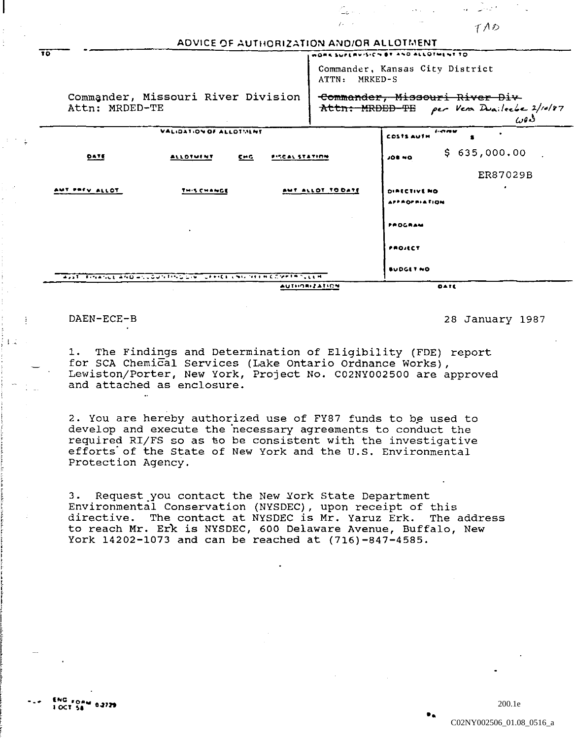Commander, Missouri River Division Attn: MRDED-TE

Commander, Missouri River Div-Attn: MRDED-TE per Ven Duaileebe 2/10/87 دەرر

WORK SUPERVISION BY AND ALLOTMENT TO

ATTN: MRKED-S

Commander, Kansas City District

TAD

| VALIDATION OF ALLOTMENT |                                                                                                   |                       | $1 - 1$<br>$\bullet$<br><b>COSTS AUTH</b>   |  |  |  |
|-------------------------|---------------------------------------------------------------------------------------------------|-----------------------|---------------------------------------------|--|--|--|
| <b>DATE</b>             | <b>ALLOTHENT</b><br>$C = C$                                                                       | <b>FISCAL STATION</b> | \$635,000.00<br>JOB NO                      |  |  |  |
|                         |                                                                                                   |                       | ER87029B                                    |  |  |  |
| AMT PREV ALLOT          | THIS CHANGE                                                                                       | AMT ALLOT TO DATE     | $\bullet$<br>DIRECTIVE NO.<br>APPROPRIATION |  |  |  |
|                         | $\bullet$                                                                                         |                       | PROGRAM                                     |  |  |  |
|                         |                                                                                                   |                       | PROJECT                                     |  |  |  |
|                         | was to be financial which will be been bring by the first contract in the City of the file of the |                       | BUDGET NO                                   |  |  |  |
|                         | $\sim$                                                                                            | <b>AUTHORIZATION</b>  | DATE                                        |  |  |  |

ADVICE OF AUTHORIZATION AND/OR ALLOTMENT

## DAEN-ECE-B

 $\overline{10}$ 

 $\mathbb{E}$ 

 $1 -$ 

28 January 1987

1. The Findings and Determination of Eligibility (FDE) report for SCA Chemical Services (Lake Ontario Ordnance Works), Lewiston/Porter, New York, Project No. C02NY002500 are approved and attached as enclosure.

2. You are hereby authorized use of FY87 funds to be used to develop and execute the necessary agreements to conduct the required RI/FS so as to be consistent with the investigative efforts of the State of New York and the U.S. Environmental Protection Agency.

3. Request you contact the New York State Department Environmental Conservation (NYSDEC), upon receipt of this directive. The contact at NYSDEC is Mr. Yaruz Erk. The address to reach Mr. Erk is NYSDEC, 600 Delaware Avenue, Buffalo, New York 14202-1073 and can be reached at (716)-847-4585.

200.1e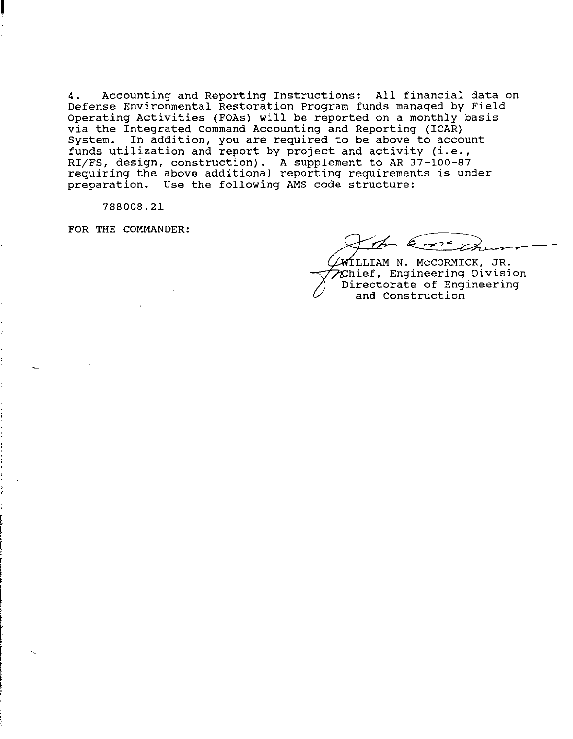4. Accounting and Reporting Instructions: All financial data on Defense Environmental Restoration Program funds managed by Field Operating Activities (FOAs) will be reported on a monthly basis via the Integrated Command Accounting and Reporting (ICAR)<br>System. In addition, you are required to be above to acco In addition, you are required to be above to account funds utilization and report by project and activity (i.e., Edited acceptance on the report of project and accepted (2000). requiring the above additional reporting requirements is under preparation. Use the following AMS code structure:

788008.21

FOR THE COMMANDER:

Im leme,

 $\sqrt{M}$ LLIAM N. McCORMICK, JR. ~~~hief, Engineering Division Directorate of Engineering and Construction